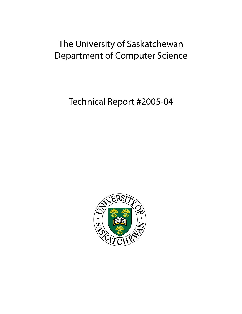# The University of Saskatchewan Department of Computer Science

Technical Report #2005-04

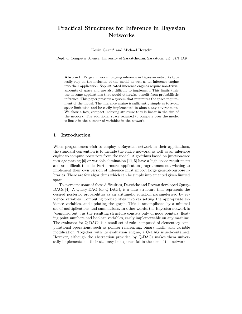# Practical Structures for Inference in Bayesian **Networks**

Kevin Grant<sup>1</sup> and Michael Horsch<sup>1</sup>

Dept. of Computer Science, University of Saskatchewan, Saskatoon, SK, S7N 5A9

Abstract. Programmers employing inference in Bayesian networks typically rely on the inclusion of the model as well as an inference engine into their application. Sophisticated inference engines require non-trivial amounts of space and are also difficult to implement. This limits their use in some applications that would otherwise benefit from probabilistic inference. This paper presents a system that minimizes the space requirement of the model. The inference engine is sufficiently simple as to avoid space-limitation and be easily implemented in almost any environment. We show a fast, compact indexing structure that is linear in the size of the network. The additional space required to compute over the model is linear in the number of variables in the network.

## 1 Introduction

When programmers wish to employ a Bayesian network in their applications, the standard convention is to include the entire network, as well as an inference engine to compute posteriors from the model. Algorithms based on junction-tree message passing [6] or variable elimination [11, 5] have a high space requirement and are difficult to code. Furthermore, application programmers not wishing to implement their own version of inference must import large general-purpose libraries. There are few algorithms which can be simply implemented given limited space.

To overcome some of these difficulties, Darwiche and Provan developed Query-DAGs [4]. A Query-DAG (or Q-DAG), is a data structure that represents the desired posterior probabilities as an arithmetic equation parameterized by evidence variables. Computing probabilities involves setting the appropriate evidence variables, and updating the graph. This is accomplished by a minimal set of multiplications and summations. In other words, the Bayesian network is "compiled out", as the resulting structure consists only of node pointers, floating point numbers and boolean variables, easily implementable on any machine. The evaluator for Q-DAGs is a small set of rules composed of elementary computational operations, such as pointer referencing, binary math, and variable modification. Together with its evaluation engine, a Q-DAG is self-contained. However, although the abstraction provided by Q-DAGs makes them universally implementable, their size may be exponential in the size of the network.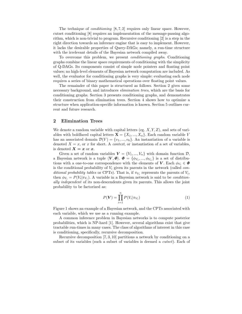The technique of *conditioning*  $[8, 7, 2]$  requires only linear space. However, cutset conditioning [8] requires an implementation of the message-passing algorithm, which is non-trivial to program. Recursive conditioning [2] is a step in the right direction towards an inference engine that is easy to implement. However, it lacks the desirable properties of Query-DAGs; namely, a run-time structure with the irrelevant details of the Bayesian network compiled away.

To overcome this problem, we present conditioning graphs. Conditioning graphs combine the linear space requirements of conditioning with the simplicity of Q-DAGs. Its components consist of simple node pointers and floating point values; no high-level elements of Bayesian network computation are included. As well, the evaluator for conditioning graphs is very simple: evaluating each node requires a series of binary mathematical operations over floating point values.

The remainder of this paper is structured as follows. Section 2 gives some necessary background, and introduces *elimination trees*, which are the basis for conditioning graphs. Section 3 presents conditioning graphs, and demonstrates their construction from elimination trees. Section 4 shows how to optimize a structure when application-specific information is known. Section 5 outlines current and future research.

#### 2 Elimination Trees

We denote a random variable with capital letters (eg.  $X, Y, Z$ ), and sets of variables with boldfaced capital letters  $\mathbf{X} = \{X_1, ..., X_n\}$ . Each random variable V has an associated domain  $\mathcal{D}(V) = \{v_1, ..., v_k\}$ . An instantiation of a variable is denoted  $X = x$ , or x for short. A *context*, or instantiation of a set of variables, is denoted  $X = x$  or x.

Given a set of random variables  $V = \{V_1, ..., V_n\}$  with domain function  $\mathcal{D}$ , a Bayesian network is a tuple  $\langle V, \Phi \rangle$ .  $\Phi = {\phi_{V_1}, ..., \phi_{V_n}}$  is a set of distributions with a one-to-one correspondence with the elements of V. Each  $\phi_{V_i} \in \Phi$ is the conditional probability of  $V_i$  given its parents in the network (called *con*ditional probability tables or CPTs). That is, if  $\pi_{V_i}$  represents the parents of  $V_i$ , then  $\phi_{V_i} = P(V_i | \pi_{V_i})$ . A variable in a Bayesian network is said to be *condition*ally independent of its non-descendents given its parents. This allows the joint probability to be factorized as:

$$
P(\boldsymbol{V}) = \prod_{i=1}^{n} P(V_i | \pi_{V_i})
$$
\n<sup>(1)</sup>

Figure 1 shows an example of a Bayesian network, and the CPTs associated with each variable, which we use as a running example.

A common inference problem in Bayesian networks is to compute posterior probabilities, which is NP-hard [1]. However, several algorithms exist that give tractable run-times in many cases. The class of algorithms of interest in this case is conditioning, specifically, recursive decomposition.

Recursive decomposition [7, 3, 10] partitions a network by conditioning on a subset of its variables (such a subset of variables is deemed a *cutset*). Each of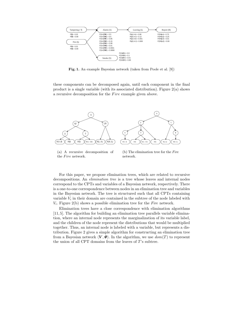

Fig. 1. An example Bayesian network (taken from Poole et al. [9])

these components can be decomposed again, until each component in the final product is a single variable (with its associated distribution). Figure  $2(a)$  shows a recursive decomposition for the Fire example given above.



(a) A recursive decomposition of the Fire network.

(b) The elimination tree for the Fire network.

For this paper, we propose elimination trees, which are related to recursive decompositions. An elimination tree is a tree whose leaves and internal nodes correspond to the CPTs and variables of a Bayesian network, respectively. There is a one-to-one correspondence between nodes in an elimination tree and variables in the Bayesian network. The tree is structured such that all CPTs containing variable  $V_i$  in their domain are contained in the subtree of the node labeled with  $V_i$ . Figure 2(b) shows a possible elimination tree for the *Fire* network.

Elimination trees have a close correspondence with elimination algorithms [11, 5]. The algorithm for building an elimination tree parallels variable elimination, where an internal node represents the marginalization of its variable label, and the children of the node represent the distributions that would be multiplied together. Thus, an internal node is labeled with a variable, but represents a distribution. Figure 2 gives a simple algorithm for constructing an elimination tree from a Bayesian network  $\langle V, \Phi \rangle$ . In the algorithm, we use  $dom(T)$  to represent the union of all CPT domains from the leaves of  $T$ 's subtree.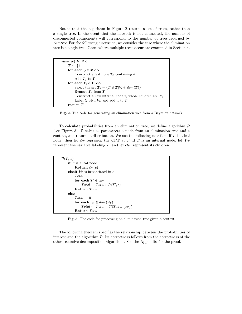Notice that the algorithm in Figure 2 returns a set of trees, rather than a single tree. In the event that the network is not connected, the number of disconnected components will correspond to the number of trees returned by elimtree. For the following discussion, we consider the case where the elimination tree is a single tree. Cases where multiple trees occur are examined in Section 4.

```
elimtree(\langle V, \boldsymbol{\Phi} \rangle)T \leftarrow \{\}for each \phi \in \mathbf{\Phi} do
      Construct a leaf node T_{\phi} containing \phiAdd T_{\phi} to Tfor each V_i \in \boldsymbol{V} do
     Select the set \mathbf{T}_i = \{T \in \mathbf{T} | V_i \in dom(T) \}Remove T_i from TConstruct a new internal node t_i whose children are T_iLabel t_i with V_i, and add it to Treturn T
```
Fig. 2. The code for generating an elimination tree from a Bayesian network.

To calculate probabilities from an elimination tree, we define algorithm  $P$ (see Figure 3). P takes as parameters a node from an elimination tree and a context, and returns a distribution. We use the following notation: if  $T$  is a leaf node, then let  $\phi_T$  represent the CPT at T. If T is an internal node, let  $V_T$ represent the variable labeling  $T$ , and let  $ch_T$  represent its children.

```
\mathcal{P}(T, c)if T is a leaf node
     Return \phi_T(c)elseif V_T is instantiated in cTotal \leftarrow 1for each T' \in ch_TTotal \leftarrow Total * \mathcal{P}(T', c)Return Total
else
     Total \leftarrow 0for each v_T \in dom(V_T)Total \leftarrow Total + \mathcal{P}(T, c \cup \{v_T\})Return Total
```
Fig. 3. The code for processing an elimination tree given a context.

The following theorem specifies the relationship between the probabilities of interest and the algorithm  $P$ . Its correctness follows from the correctness of the other recursive decomposition algorithms. See the Appendix for the proof.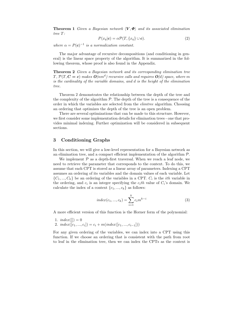**Theorem 1** Given a Bayesian network  $\langle V, \Phi \rangle$  and its associated elimination tree T :

$$
P(x_q|\mathbf{c}) = \alpha \mathcal{P}(T, \{x_q\} \cup \mathbf{c}).\tag{2}
$$

where  $\alpha = P(c)^{-1}$  is a normalization constant.

The major advantage of recursive decompositions (and conditioning in general) is the linear space property of the algorithm. It is summarized in the following theorem, whose proof is also found in the Appendix.

Theorem 2 Given a Bayesian network and its corresponding elimination tree  $T$ ,  $\mathcal{P}(T,\boldsymbol{C}=\boldsymbol{c})$  makes  $\boldsymbol{O}(nm^d)$  recursive calls and requires  $\boldsymbol{O}(d)$  space, where  $m$ is the cardinality of the variable domains, and d is the height of the elimination tree.

Theorem 2 demonstrates the relationship between the depth of the tree and the complexity of the algorithm  $P$ . The depth of the tree is a consequence of the order in which the variables are selected from the elimtree algorithm. Choosing an ordering that optimizes the depth of the tree is an open problem.

There are several optimizations that can be made to this structure. However, we first consider some implementation details for elimination trees - one that provides minimal indexing. Further optimization will be considered in subsequent sections.

# 3 Conditioning Graphs

In this section, we will give a low-level representation for a Bayesian network as an elimination tree, and a compact efficient implementation of the algorithm  $\mathcal{P}$ .

We implement  $P$  as a depth-first traversal. When we reach a leaf node, we need to retrieve the parameter that corresponds to the context. To do this, we assume that each CPT is stored as a linear array of parameters. Indexing a CPT assumes an ordering of its variables and the domain values of each variable. Let  $\{C_1, ..., C_k\}$  be an ordering of the variables in a CPT.  $C_i$  is the *ith* variable in the ordering, and  $c_i$  is an integer specifying the  $c_i$ th value of  $C_i$ 's domain. We calculate the index of a context  $\{c_1, ..., c_k\}$  as follows:

$$
index(c_1, ..., c_k) = \sum_{i=1}^{k} c_i m^{k-i}
$$
 (3)

A more efficient version of this function is the Horner form of the polynomial:

1.  $index(||) = 0$ 2.  $index([c_1, ..., c_i]) = c_i + m(index([c_1, ..., c_{i-1}]))$ 

For any given ordering of the variables, we can index into a CPT using this function. If we choose an ordering that is consistent with the path from root to leaf in the elimination tree, then we can index the CPTs as the context is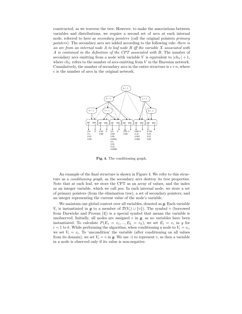constructed, as we traverse the tree. However, to make the associations between variables and distributions, we require a second set of arcs at each internal node, referred to here as *secondary pointers* (call the original pointers *primary* pointers). The secondary arcs are added according to the following rule: there is an arc from an internal node A to leaf node B iff the variable X associated with A is contained in the definition of the CPT associated with B. The number of secondary arcs emitting from a node with variable V is equivalent to  $|ch_V| + 1$ , where  $ch_V$  refers to the number of arcs emitting from V in the Bayesian network. Cumulatively, the number of secondary arcs in the entire structure is  $e+n$ , where e is the number of arcs in the original network.



Fig. 4. The conditioning graph.

An example of the final structure is shown in Figure 4. We refer to this structure as a *conditioning graph*, as the secondary arcs destroy its tree properties. Note that at each leaf, we store the CPT as an array of values, and the index as an integer variable, which we call pos. In each internal node, we store a set of primary pointers (from the elimination tree), a set of secondary pointers, and an integer representing the current value of the node's variable.

We maintain one global context over all variables, denoted as  $q$ . Each variable V<sub>i</sub> is instantiated in g to a member of  $\mathcal{D}(V_i) \cup \{\diamond\})$ . The symbol  $\diamond$  (borrowed from Darwiche and Provan [4]) is a special symbol that means the variable is unobserved. Initially, all nodes are assigned  $\diamond$  in  $g$ , as no variables have been instantiated. To calculate  $P(E_1 = e_1, ..., E_k = e_k)$ , we set  $E_i = e_i$  in g for  $i = 1$  to k. While performing the algorithm, when conditioning a node to  $V_i = v_i$ , we set  $V_i = v_i$ . To 'uncondition' the variable (after conditioning on all values from its domain), we set  $V_i = \diamond$  in  $g$ . We use -1 to represent  $\diamond$ , as then a variable in a node is observed only if its value is non-negative.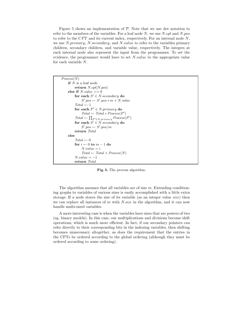Figure 5 shows an implementation of  $P$ . Note that we use dot notation to refer to the members of the variables. For a leaf node  $N$ , we use  $N.cpt$  and  $N.pos$ to refer to the  $CPT$  and its current index, respectively. For an internal node N, we use N.primary, N.secondary, and N.value to refer to the variables primary children, secondary children, and variable value, respectively. The integers at each internal node also represent the input from the programmer. To set the evidence, the programmer would have to set N.value to the appropriate value for each variable N.



Fig. 5. The process algorithm.

The algorithm assumes that all variables are of size  $m$ . Extending conditioning graphs to variables of various sizes is easily accomplished with a little extra storage. If a node stores the size of its variable (as an integer value size) then we can replace all instances of  $m$  with *N.size* in the algorithm, and it can now handle multi-sized variables.

A more interesting case is when the variables have sizes that are powers of two (eg. binary models). In this case, our multiplications and divisions become shift operations, which is much more efficient. In fact, if our secondary pointers can refer directly to their corresponding bits in the indexing variables, then shifting becomes unnecessary altogether, as does the requirement that the entries in the CPTs be ordered according to the global ordering (although they must be ordered according to some ordering).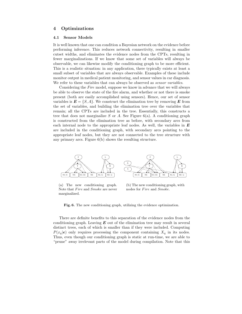# 4 Optimizations

#### 4.1 Sensor Models

It is well known that one can condition a Bayesian network on the evidence before performing inference. This reduces network connectivity, resulting in smaller cutset widths, and eliminates the evidence nodes from the CPTs, resulting in fewer marginalizations. If we know that some set of variables will always be observable, we can likewise modify the conditioning graph to be more efficient. This is a realistic situation: in any application, there typically exists at least a small subset of variables that are always observable. Examples of these include monitor output in medical patient monitoring, and sensor values in car diagnosis. We refer to these variables that can always be observed as *sensor variables*.

Considering the Fire model, suppose we know in advance that we will always be able to observe the state of the fire alarm, and whether or not there is smoke present (both are easily accomplished using sensors). Hence, our set of sensor variables is  $E = \{S, A\}$ . We construct the elimination tree by removing E from the set of variables, and building the elimination tree over the variables that remain; all the CPTs are included in the tree. Essentially, this constructs a tree that does not marginalize S or A. See Figure  $6(a)$ . A conditioning graph is constructed from the elimination tree as before, with secondary arcs from each internal node to the appropriate leaf nodes. As well, the variables in  $\boldsymbol{E}$ are included in the conditioning graph, with secondary arcs pointing to the appropriate leaf nodes, but they are not connected to the tree structure with any primary arcs. Figure 6(b) shows the resulting structure.



(a) The new conditioning graph. Note that Fire and Smoke are never marginalized.

(b) The new conditioning graph, with nodes for Fire and Smoke.

Fig. 6. The new conditioning graph, utilizing the evidence optimization.

There are definite benefits to this separation of the evidence nodes from the conditioning graph. Leaving  $E$  out of the elimination tree may result in several distinct trees, each of which is smaller than if they were included. Computing  $P(x_q|e)$  only requires processing the component containing  $X_q$  in its nodes. Thus, even though our conditioning graph is static at run-time, we are able to "prune" away irrelevant parts of the model during compilation. Note that this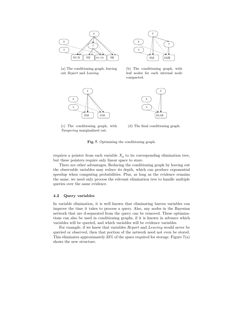

 $f(S, F)$ S T F A  $f(A, F, T)$ 

(a) The conditioning graph, leaving out Report and Leaving.



(c) The conditioning graph, with Tampering marginalized out.





(d) The final conditioning graph.

Fig. 7. Optimizing the conditioning graph.

requires a pointer from each variable  $X_q$  to its corresponding elimination tree, but these pointers require only linear space to store.

There are other advantages. Reducing the conditioning graph by leaving out the observable variables may reduce its depth, which can produce exponential speedup when computing probabilities. Plus, as long as the evidence remains the same, we need only process the relevant elimination tree to handle multiple queries over the same evidence.

#### 4.2 Query variables

In variable elimination, it is well known that eliminating barren variables can improve the time it takes to process a query. Also, any nodes in the Bayesian network that are d-separated from the query can be removed. These optimizations can also be used in conditioning graphs, if it is known in advance which variables will be queried, and which variables will be evidence variables.

For example, if we knew that variables Report and Leaving would never be queried or observed, then that portion of the network need not even be stored. This eliminates approximately  $33\%$  of the space required for storage. Figure  $7(a)$ shows the new structure.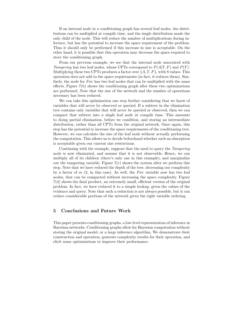If an internal node in a conditioning graph has several leaf nodes, the distributions can be multiplied at compile time, and the single distribution made the only child of the node. This will reduce the number of multiplications during inference, but has the potential to increase the space requirement of the problem. Thus it should only be performed if this increase in size is acceptable. On the other hand, it is possible that this operation may decrease the space required to store the conditioning graph.

From our previous example, we see that the internal node associated with Tampering has two leaf nodes, whose CPTs correspond to  $P(A|T, F)$  and  $P(T)$ . Multiplying these two CPTs produces a factor over  $\{A, T, F\}$ , with 8 values. This operation does not add to the space requirements (in fact, it reduces them). Similarly, the node for Fire has two leaf nodes that can be multiplied with the same effects. Figure 7(b) shows the conditioning graph after these two optimizations are performed. Note that the size of the network and the number of operations necessary has been reduced.

We can take this optimization one step further considering that we know of variables that will never be observed or queried. If a subtree in the elimination tree contains only variables that will never be queried or observed, then we can compact that subtree into a single leaf node at compile time. This amounts to doing partial elimination, before we condition, and storing an intermediate distribution, rather than all CPTs from the original network. Once again, this step has the potential to increase the space requirements of the conditioning tree. However, we can calculate the size of the leaf node without actually performing the computation. This allows us to decide beforehand whether such an absorption is acceptable given our current size restrictions.

Continuing with the example, suppose that the need to query the *Tampering* node is now eliminated, and assume that it is not observable. Hence, we can multiply all of its children (there's only one in this example), and marginalize out the tampering variable. Figure  $7(c)$  shows the system after we perform this step. Note that we have reduced the depth of the tree, decreasing our complexity by a factor of  $m(2, \text{in this case})$ . As well, the Fire variable now has two leaf nodes, that can be compacted without increasing the space complexity. Figure 7(d) shows the final product, an extremely small, efficient version of the original problem. In fact, we have reduced it to a simple lookup, given the values of the evidence and query. Note that such a reduction is not always possible, but it can reduce considerable portions of the network given the right variable ordering.

## 5 Conclusions and Future Work

This paper presents conditioning graphs, a low-level representation of inference in Bayesian networks. Conditioning graphs allow for Bayesian computation without storing the original model, or a large inference algorithm. We demonstrate their construction and operation, generate complexity results for their operation, and elicit some optimizations to improve their performance.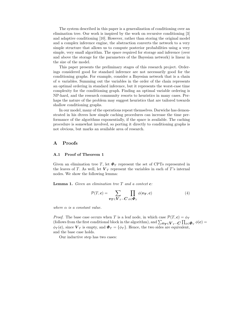The system described in this paper is a generalization of conditioning over an elimination tree. Our work is inspired by the work on recursive conditioning [3] and adaptive conditioning [10]. However, rather than storing the original model and a complex inference engine, the abstraction converts the network to a very simple structure that allows us to compute posterior probabilities using a very simple, very small algorithm. The space required for storage and inference (over and above the storage for the parameters of the Bayesian network) is linear in the size of the model.

This paper presents the preliminary stages of this research project. Orderings considered good for standard inference are not necessarily good for the conditioning graphs. For example, consider a Bayesian network that is a chain of n variables. Summing out the variables in the order of the chain represents an optimal ordering in standard inference, but it represents the worst-case time complexity for the conditioning graph. Finding an optimal variable ordering is NP-hard, and the research community resorts to heuristics in many cases. Perhaps the nature of the problem may suggest heuristics that are tailored towards shallow conditioning graphs.

In our model, many of the operations repeat themselves. Darwiche has demonstrated in his dtrees how simple caching procedures can increase the time performance of the algorithms exponentially, if the space is available. The caching procedure is somewhat involved, so porting it directly to conditioning graphs is not obvious, but marks an available area of research.

#### A Proofs

#### A.1 Proof of Theorem 1

Given an elimination tree T, let  $\Phi_T$  represent the set of CPTs represented in the leaves of T. As well, let  $V_T$  represent the variables in each of T's internal nodes. We show the following lemma:

**Lemma 1.** Given an elimination tree  $T$  and a context  $c$ :

$$
\mathcal{P}(T,\mathbf{c}) = \sum_{\mathbf{v}_T \in \mathbf{V}_T - \mathbf{C}} \prod_{\phi \in \mathbf{\Phi}_T} \phi(\mathbf{v}_T, \mathbf{c}) \tag{4}
$$

where  $\alpha$  is a constant value.

*Proof.* The base case occurs when T is a leaf node, in which case  $\mathcal{P}(T, c) = \phi_T$ (follows from the first conditional block in the algorithm), and  $\sum_{\bm{v_T} \in \bm{V}_T - \bm{C}} \prod_{\phi \in \bm{\Phi}_T} \phi(\bm{c}) =$  $\phi_T(c)$ , since  $V_T$  is empty, and  $\Phi_T = {\phi_T}$ . Hence, the two sides are equivalent, and the base case holds.

Our inductive step has two cases: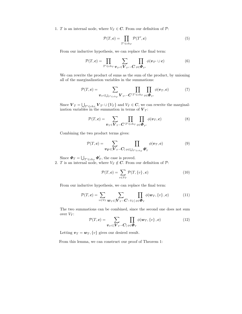1. T is an internal node, where  $V_T \in \mathbb{C}$ . From our definition of  $\mathcal{P}$ :

$$
\mathcal{P}(T,\mathbf{c}) = \prod_{T' \in ch_T} \mathcal{P}(T',\mathbf{c}) \tag{5}
$$

From our inductive hypothesis, we can replace the final term:

$$
\mathcal{P}(T,\mathbf{c}) = \prod_{T' \in ch_T} \sum_{\mathbf{v}_{T'} \in \mathbf{V}_{T'} - \mathbf{C}} \prod_{\phi \in \mathbf{\Phi}_{T'}} \phi(\mathbf{v}_{T'} \cup \mathbf{c}) \tag{6}
$$

We can rewrite the product of sums as the sum of the product, by unioning all of the marginalization variables in the summations:

$$
\mathcal{P}(T,\mathbf{c}) = \sum_{\mathbf{v}_T \in \bigcup_{T' \in ch_T} \mathbf{V}_{T'} - \mathbf{C}} \prod_{T' \in ch_T} \prod_{\phi \in \mathbf{\Phi}_{T'}} \phi(\mathbf{v}_T, \mathbf{c}) \tag{7}
$$

Since  $\boldsymbol{V}_T = \bigcup_{T' \in ch_T} \boldsymbol{V}_{T'} \cup \{V_T\}$  and  $V_T \in \boldsymbol{C}$ , we can rewrite the marginalization variables in the summation in terms of  $V_T$ :

$$
\mathcal{P}(T,\mathbf{c}) = \sum_{\mathbf{v}_T \in \mathbf{V}_T - \mathbf{C}} \prod_{T' \in ch_T} \prod_{\phi \in \mathbf{\Phi}_{T'}} \phi(\mathbf{v}_T, \mathbf{c}) \tag{8}
$$

Combining the two product terms gives:

$$
\mathcal{P}(T,\mathbf{c}) = \sum_{\mathbf{v}_T \in [\mathbf{V}_T - \mathbf{C}] \phi \in \bigcup_{T' \in ch_T} \mathbf{\Phi}'_T} \phi(\mathbf{v}_T, \mathbf{c}) \tag{9}
$$

Since  $\mathbf{\Phi}_T = \bigcup_{T' \in ch_T} \mathbf{\Phi}'_T$ , the case is proved.

2. T is an internal node, where  $V_T \notin \mathbb{C}$ . From our definition of  $\mathcal{P}$ :

$$
\mathcal{P}(T,\mathbf{c}) = \sum_{v \in V_T} \mathcal{P}(T,\{v\},\mathbf{c}) \tag{10}
$$

From our inductive hypothesis, we can replace the final term:

$$
\mathcal{P}(T,\mathbf{c}) = \sum_{v \in V_T} \sum_{\mathbf{w}_T \in [\mathbf{V}_T - \mathbf{C} - V_T]} \prod_{\phi \in \mathbf{\Phi}_T} \phi(\mathbf{w}_T, \{v\}, \mathbf{c}) \tag{11}
$$

The two summations can be combined, since the second one does not sum over  $V_T$ :

$$
\mathcal{P}(T,\mathbf{c}) = \sum_{\mathbf{v}_T \in [\mathbf{V}_T - \mathbf{C}]}\prod_{\phi \in \mathbf{\Phi}_T} \phi(\mathbf{w}_T, \{v\}, \mathbf{c})
$$
(12)

Letting  $v_T = w_T, \{v\}$  gives our desired result.

From this lemma, we can construct our proof of Theorem 1: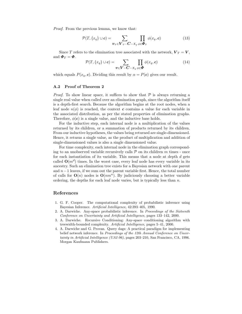Proof. From the previous lemma, we know that:

$$
\mathcal{P}(T, \{x_q\} \cup \mathbf{c}) = \sum_{\mathbf{v}_T \in \mathbf{V}_T - \mathbf{C} - X_q} \prod_{\phi \in \mathbf{\Phi}_T} \phi(x_q, \mathbf{c}) \tag{13}
$$

Since T refers to the elimination tree associated with the network,  $V_T = V$ , and  $\boldsymbol{\Phi}_T = \boldsymbol{\Phi}$ .

$$
\mathcal{P}(T, \{x_q\} \cup \mathbf{c}) = \sum_{\mathbf{v} \in \mathbf{V} - \mathbf{C} - X_q} \prod_{\phi \in \mathbf{\Phi}} \phi(x_q, \mathbf{c}) \tag{14}
$$

which equals  $P(x_q, c)$ . Dividing this result by  $\alpha = P(c)$  gives our result.

#### A.2 Proof of Theorem 2

*Proof.* To show linear space, it suffices to show that  $P$  is always returning a single real value when called over an elimination graph, since the algorithm itself is a depth-first search. Because the algorithm begins at the root nodes, when a leaf node  $n(\phi)$  is reached, the context c contains a value for each variable in the associated distribution, as per the stated properties of elimination graphs. Therefore,  $\phi(c)$  is a single value, and the inductive base holds.

For the inductive step, each internal node is a multiplication of the values returned by its children, or a summation of products returned by its children. From our inductive hypotheses, the values being returned are single-dimensioned. Hence, it returns a single value, as the product of multiplication and addition of single-dimensioned values is also a single dimensioned value.

For time complexity, each internal node in the elimination graph corresponding to an unobserved variable recursively calls  $\mathcal P$  on its children m times - once for each instantiation of its variable. This means that a node at depth  $d$  gets called  $\mathbf{O}(m^d)$  times. In the worst case, every leaf node has every variable in its ancestry. Such an elimination tree exists for a Bayesian network with one parent and  $n-1$  leaves, if we sum out the parent variable first. Hence, the total number of calls for  $O(n)$  nodes is  $O(nm^n)$ . By judiciously choosing a better variable ordering, the depths for each leaf node varies, but is typically less than  $n$ .

#### References

- 1. G. F. Cooper. The computational complexity of probabilistic inference using Bayesian Inference. Artificial Intelligence, 42:393–405, 1990.
- 2. A. Darwiche. Any-space probabilistic inference. In Proceedings of the Sixteenth Conference on Uncertainty and Artificial Intelligence, pages 133–142, 2000.
- 3. A. Darwiche. Recursive Conditioning: Any-space conditioning algorithm with treewidth-bounded complexity. Artificial Intelligence, pages 5–41, 2000.
- 4. A. Darwiche and G. Provan. Query dags: A practical paradigm for implementing belief network inference. In Proceedings of the 12th Annual Conference on Uncertainty in Artificial Intelligence (UAI-96), pages 203–210, San Francisco, CA, 1996. Morgan Kaufmann Publishers.